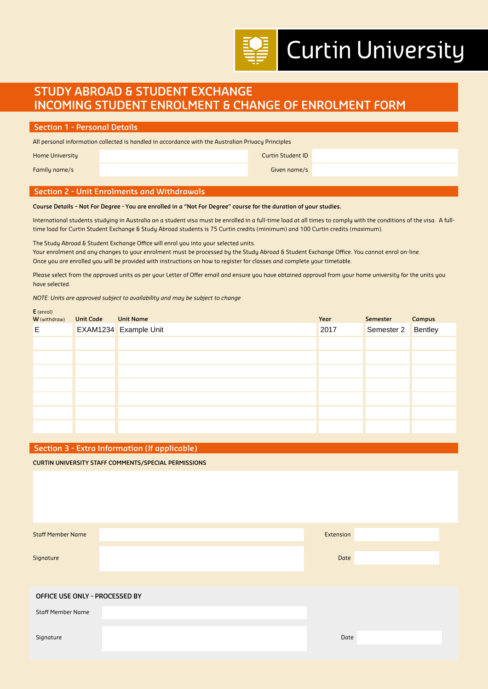# **Curtin University**

# **STUDY ABROAD & STUDENT EXCHANGE INCOMING STUDENT ENROLMENT & CHANGE OF ENROLMENT FORM**

| <b>Section 1 - Personal Details</b>                                                                |  |                          |  |  |  |  |  |
|----------------------------------------------------------------------------------------------------|--|--------------------------|--|--|--|--|--|
| All personal information collected is handled in accordance with the Australian Privacy Principles |  |                          |  |  |  |  |  |
| <b>Home University</b>                                                                             |  | <b>Curtin Student ID</b> |  |  |  |  |  |
| Family name/s                                                                                      |  | Given name/s             |  |  |  |  |  |
|                                                                                                    |  |                          |  |  |  |  |  |

# **Section 2 - Unit Enrolments and Withdrawals**

#### **Course Details – Not For Degree - You are enrolled in a "Not For Degree" course for the duration of your studies.**

International students studying in Australia on a student visa must be enrolled in a full-time load at all times to comply with the conditions of the visa. A fulltime load for Curtin Student Exchange & Study Abroad students is 75 Curtin credits (minimum) and 100 Curtin credits (maximum).

The Study Abroad & Student Exchange Office will enrol you into your selected units. Your enrolment and any changes to your enrolment must be processed by the Study Abroad & Student Exchange Office. You cannot enrol on-line. Once you are enrolled you will be provided with instructions on how to register for classes and complete your timetable.

Please select from the approved units as per your Letter of Offer email and ensure you have obtained approval from your home university for the units you have selected.

*NOTE: Units are approved subject to availability and may be subject to change*

| $E$ (enrol)<br><b>W</b> (withdraw) | <b>Unit Code</b> | <b>Unit Name</b>      | Year | Semester           | Campus |
|------------------------------------|------------------|-----------------------|------|--------------------|--------|
| E                                  |                  | EXAM1234 Example Unit | 2017 | Semester 2 Bentley |        |
|                                    |                  |                       |      |                    |        |
|                                    |                  |                       |      |                    |        |
|                                    |                  |                       |      |                    |        |
|                                    |                  |                       |      |                    |        |
|                                    |                  |                       |      |                    |        |
|                                    |                  |                       |      |                    |        |
|                                    |                  |                       |      |                    |        |

## **Section 3 - Extra Information (If applicable)**

**CURTIN UNIVERSITY STAFF COMMENTS/SPECIAL PERMISSIONS**

| Date<br>Signature              |  |  |  |  |  |
|--------------------------------|--|--|--|--|--|
|                                |  |  |  |  |  |
|                                |  |  |  |  |  |
| OFFICE USE ONLY - PROCESSED BY |  |  |  |  |  |
| <b>Staff Member Name</b>       |  |  |  |  |  |
|                                |  |  |  |  |  |
| Date<br>Signature              |  |  |  |  |  |